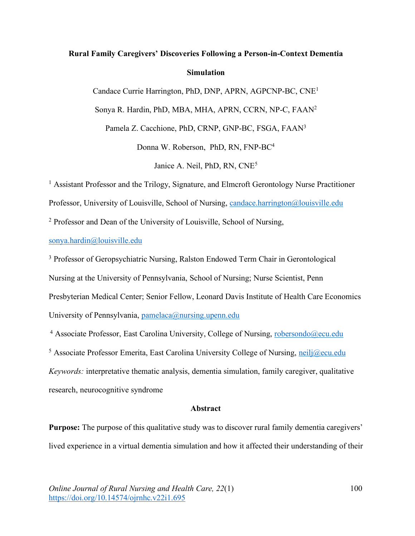# **Rural Family Caregivers' Discoveries Following a Person-in-Context Dementia Simulation**

Candace Currie Harrington, PhD, DNP, APRN, AGPCNP-BC, CNE1

Sonya R. Hardin, PhD, MBA, MHA, APRN, CCRN, NP-C, FAAN2

Pamela Z. Cacchione, PhD, CRNP, GNP-BC, FSGA, FAAN3

Donna W. Roberson, PhD, RN, FNP-BC4

Janice A. Neil, PhD, RN, CNE5

<sup>1</sup> Assistant Professor and the Trilogy, Signature, and Elmcroft Gerontology Nurse Practitioner

Professor, University of Louisville, School of Nursing, candace.harrington@louisville.edu

<sup>2</sup> Professor and Dean of the University of Louisville, School of Nursing,

## sonya.hardin@louisville.edu

<sup>3</sup> Professor of Geropsychiatric Nursing, Ralston Endowed Term Chair in Gerontological Nursing at the University of Pennsylvania, School of Nursing; Nurse Scientist, Penn Presbyterian Medical Center; Senior Fellow, Leonard Davis Institute of Health Care Economics University of Pennsylvania, pamelaca@nursing.upenn.edu

<sup>4</sup> Associate Professor, East Carolina University, College of Nursing, robersondo@ecu.edu

 $5$  Associate Professor Emerita, East Carolina University College of Nursing, neilj@ecu.edu *Keywords:* interpretative thematic analysis, dementia simulation, family caregiver, qualitative research, neurocognitive syndrome

## **Abstract**

**Purpose:** The purpose of this qualitative study was to discover rural family dementia caregivers' lived experience in a virtual dementia simulation and how it affected their understanding of their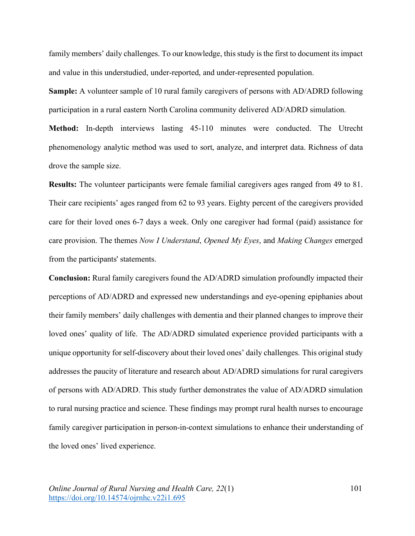family members' daily challenges. To our knowledge, this study is the first to document its impact and value in this understudied, under-reported, and under-represented population.

**Sample:** A volunteer sample of 10 rural family caregivers of persons with AD/ADRD following participation in a rural eastern North Carolina community delivered AD/ADRD simulation. **Method:** In-depth interviews lasting 45-110 minutes were conducted. The Utrecht phenomenology analytic method was used to sort, analyze, and interpret data. Richness of data drove the sample size.

**Results:** The volunteer participants were female familial caregivers ages ranged from 49 to 81. Their care recipients' ages ranged from 62 to 93 years. Eighty percent of the caregivers provided care for their loved ones 6-7 days a week. Only one caregiver had formal (paid) assistance for care provision. The themes *Now I Understand*, *Opened My Eyes*, and *Making Changes* emerged from the participants' statements.

**Conclusion:** Rural family caregivers found the AD/ADRD simulation profoundly impacted their perceptions of AD/ADRD and expressed new understandings and eye-opening epiphanies about their family members' daily challenges with dementia and their planned changes to improve their loved ones' quality of life. The AD/ADRD simulated experience provided participants with a unique opportunity for self-discovery about their loved ones' daily challenges. This original study addresses the paucity of literature and research about AD/ADRD simulations for rural caregivers of persons with AD/ADRD. This study further demonstrates the value of AD/ADRD simulation to rural nursing practice and science. These findings may prompt rural health nurses to encourage family caregiver participation in person-in-context simulations to enhance their understanding of the loved ones' lived experience.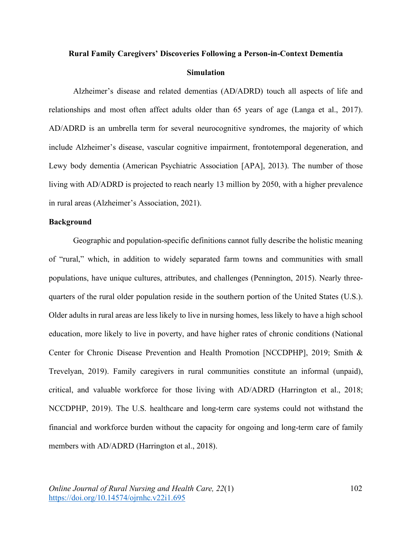# **Rural Family Caregivers' Discoveries Following a Person-in-Context Dementia Simulation**

Alzheimer's disease and related dementias (AD/ADRD) touch all aspects of life and relationships and most often affect adults older than 65 years of age (Langa et al., 2017). AD/ADRD is an umbrella term for several neurocognitive syndromes, the majority of which include Alzheimer's disease, vascular cognitive impairment, frontotemporal degeneration, and Lewy body dementia (American Psychiatric Association [APA], 2013). The number of those living with AD/ADRD is projected to reach nearly 13 million by 2050, with a higher prevalence in rural areas (Alzheimer's Association, 2021).

## **Background**

Geographic and population-specific definitions cannot fully describe the holistic meaning of "rural," which, in addition to widely separated farm towns and communities with small populations, have unique cultures, attributes, and challenges (Pennington, 2015). Nearly threequarters of the rural older population reside in the southern portion of the United States (U.S.). Older adults in rural areas are less likely to live in nursing homes, less likely to have a high school education, more likely to live in poverty, and have higher rates of chronic conditions (National Center for Chronic Disease Prevention and Health Promotion [NCCDPHP], 2019; Smith & Trevelyan, 2019). Family caregivers in rural communities constitute an informal (unpaid), critical, and valuable workforce for those living with AD/ADRD (Harrington et al., 2018; NCCDPHP, 2019). The U.S. healthcare and long-term care systems could not withstand the financial and workforce burden without the capacity for ongoing and long-term care of family members with AD/ADRD (Harrington et al., 2018).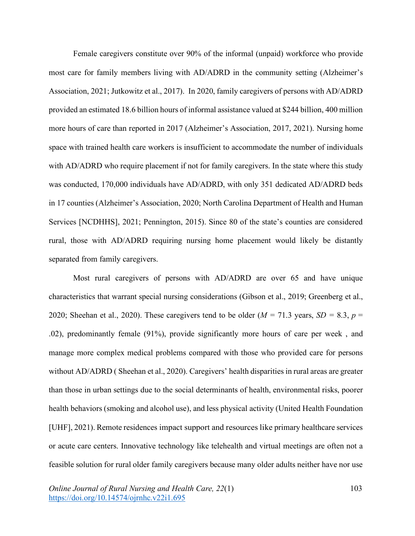Female caregivers constitute over 90% of the informal (unpaid) workforce who provide most care for family members living with AD/ADRD in the community setting (Alzheimer's Association, 2021; Jutkowitz et al., 2017). In 2020, family caregivers of persons with AD/ADRD provided an estimated 18.6 billion hours of informal assistance valued at \$244 billion, 400 million more hours of care than reported in 2017 (Alzheimer's Association, 2017, 2021). Nursing home space with trained health care workers is insufficient to accommodate the number of individuals with AD/ADRD who require placement if not for family caregivers. In the state where this study was conducted, 170,000 individuals have AD/ADRD, with only 351 dedicated AD/ADRD beds in 17 counties (Alzheimer's Association, 2020; North Carolina Department of Health and Human Services [NCDHHS], 2021; Pennington, 2015). Since 80 of the state's counties are considered rural, those with AD/ADRD requiring nursing home placement would likely be distantly separated from family caregivers.

Most rural caregivers of persons with AD/ADRD are over 65 and have unique characteristics that warrant special nursing considerations (Gibson et al., 2019; Greenberg et al., 2020; Sheehan et al., 2020). These caregivers tend to be older ( $M = 71.3$  years,  $SD = 8.3$ ,  $p =$ .02), predominantly female (91%), provide significantly more hours of care per week , and manage more complex medical problems compared with those who provided care for persons without AD/ADRD ( Sheehan et al., 2020). Caregivers' health disparities in rural areas are greater than those in urban settings due to the social determinants of health, environmental risks, poorer health behaviors (smoking and alcohol use), and less physical activity (United Health Foundation [UHF], 2021). Remote residences impact support and resources like primary healthcare services or acute care centers. Innovative technology like telehealth and virtual meetings are often not a feasible solution for rural older family caregivers because many older adults neither have nor use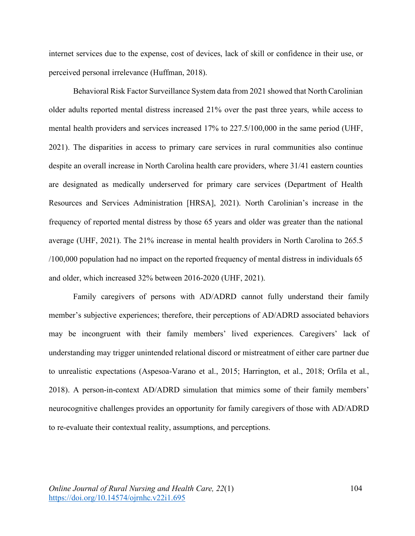internet services due to the expense, cost of devices, lack of skill or confidence in their use, or perceived personal irrelevance (Huffman, 2018).

Behavioral Risk Factor Surveillance System data from 2021 showed that North Carolinian older adults reported mental distress increased 21% over the past three years, while access to mental health providers and services increased 17% to 227.5/100,000 in the same period (UHF, 2021). The disparities in access to primary care services in rural communities also continue despite an overall increase in North Carolina health care providers, where 31/41 eastern counties are designated as medically underserved for primary care services (Department of Health Resources and Services Administration [HRSA], 2021). North Carolinian's increase in the frequency of reported mental distress by those 65 years and older was greater than the national average (UHF, 2021). The 21% increase in mental health providers in North Carolina to 265.5 /100,000 population had no impact on the reported frequency of mental distress in individuals 65 and older, which increased 32% between 2016-2020 (UHF, 2021).

Family caregivers of persons with AD/ADRD cannot fully understand their family member's subjective experiences; therefore, their perceptions of AD/ADRD associated behaviors may be incongruent with their family members' lived experiences. Caregivers' lack of understanding may trigger unintended relational discord or mistreatment of either care partner due to unrealistic expectations (Aspesoa-Varano et al., 2015; Harrington, et al., 2018; Orfila et al., 2018). A person-in-context AD/ADRD simulation that mimics some of their family members' neurocognitive challenges provides an opportunity for family caregivers of those with AD/ADRD to re-evaluate their contextual reality, assumptions, and perceptions.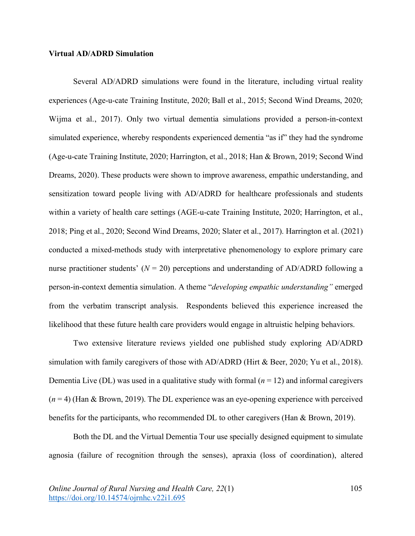## **Virtual AD/ADRD Simulation**

Several AD/ADRD simulations were found in the literature, including virtual reality experiences (Age-u-cate Training Institute, 2020; Ball et al., 2015; Second Wind Dreams, 2020; Wijma et al., 2017). Only two virtual dementia simulations provided a person-in-context simulated experience, whereby respondents experienced dementia "as if" they had the syndrome (Age-u-cate Training Institute, 2020; Harrington, et al., 2018; Han & Brown, 2019; Second Wind Dreams, 2020). These products were shown to improve awareness, empathic understanding, and sensitization toward people living with AD/ADRD for healthcare professionals and students within a variety of health care settings (AGE-u-cate Training Institute, 2020; Harrington, et al., 2018; Ping et al., 2020; Second Wind Dreams, 2020; Slater et al., 2017). Harrington et al. (2021) conducted a mixed-methods study with interpretative phenomenology to explore primary care nurse practitioner students'  $(N = 20)$  perceptions and understanding of AD/ADRD following a person-in-context dementia simulation. A theme "*developing empathic understanding"* emerged from the verbatim transcript analysis. Respondents believed this experience increased the likelihood that these future health care providers would engage in altruistic helping behaviors.

Two extensive literature reviews yielded one published study exploring AD/ADRD simulation with family caregivers of those with AD/ADRD (Hirt & Beer, 2020; Yu et al., 2018). Dementia Live (DL) was used in a qualitative study with formal  $(n = 12)$  and informal caregivers  $(n = 4)$  (Han & Brown, 2019). The DL experience was an eye-opening experience with perceived benefits for the participants, who recommended DL to other caregivers (Han & Brown, 2019).

Both the DL and the Virtual Dementia Tour use specially designed equipment to simulate agnosia (failure of recognition through the senses), apraxia (loss of coordination), altered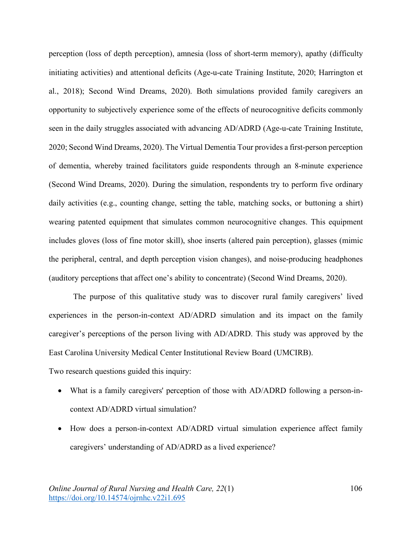perception (loss of depth perception), amnesia (loss of short-term memory), apathy (difficulty initiating activities) and attentional deficits (Age-u-cate Training Institute, 2020; Harrington et al., 2018); Second Wind Dreams, 2020). Both simulations provided family caregivers an opportunity to subjectively experience some of the effects of neurocognitive deficits commonly seen in the daily struggles associated with advancing AD/ADRD (Age-u-cate Training Institute, 2020; Second Wind Dreams, 2020). The Virtual Dementia Tour provides a first-person perception of dementia, whereby trained facilitators guide respondents through an 8-minute experience (Second Wind Dreams, 2020). During the simulation, respondents try to perform five ordinary daily activities (e.g., counting change, setting the table, matching socks, or buttoning a shirt) wearing patented equipment that simulates common neurocognitive changes. This equipment includes gloves (loss of fine motor skill), shoe inserts (altered pain perception), glasses (mimic the peripheral, central, and depth perception vision changes), and noise-producing headphones (auditory perceptions that affect one's ability to concentrate) (Second Wind Dreams, 2020).

The purpose of this qualitative study was to discover rural family caregivers' lived experiences in the person-in-context AD/ADRD simulation and its impact on the family caregiver's perceptions of the person living with AD/ADRD. This study was approved by the East Carolina University Medical Center Institutional Review Board (UMCIRB).

Two research questions guided this inquiry:

- What is a family caregivers' perception of those with AD/ADRD following a person-incontext AD/ADRD virtual simulation?
- How does a person-in-context AD/ADRD virtual simulation experience affect family caregivers' understanding of AD/ADRD as a lived experience?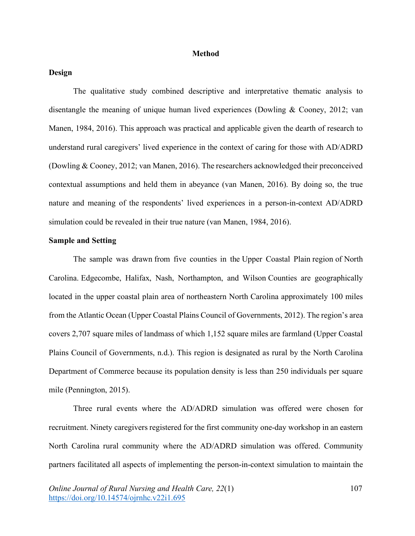## **Method**

## **Design**

The qualitative study combined descriptive and interpretative thematic analysis to disentangle the meaning of unique human lived experiences (Dowling & Cooney, 2012; van Manen, 1984, 2016). This approach was practical and applicable given the dearth of research to understand rural caregivers' lived experience in the context of caring for those with AD/ADRD (Dowling & Cooney, 2012; van Manen, 2016). The researchers acknowledged their preconceived contextual assumptions and held them in abeyance (van Manen, 2016). By doing so, the true nature and meaning of the respondents' lived experiences in a person-in-context AD/ADRD simulation could be revealed in their true nature (van Manen, 1984, 2016).

## **Sample and Setting**

The sample was drawn from five counties in the Upper Coastal Plain region of North Carolina. Edgecombe, Halifax, Nash, Northampton, and Wilson Counties are geographically located in the upper coastal plain area of northeastern North Carolina approximately 100 miles from the Atlantic Ocean (Upper Coastal Plains Council of Governments, 2012). The region's area covers 2,707 square miles of landmass of which 1,152 square miles are farmland (Upper Coastal Plains Council of Governments, n.d.). This region is designated as rural by the North Carolina Department of Commerce because its population density is less than 250 individuals per square mile (Pennington, 2015).

Three rural events where the AD/ADRD simulation was offered were chosen for recruitment. Ninety caregivers registered for the first community one-day workshop in an eastern North Carolina rural community where the AD/ADRD simulation was offered. Community partners facilitated all aspects of implementing the person-in-context simulation to maintain the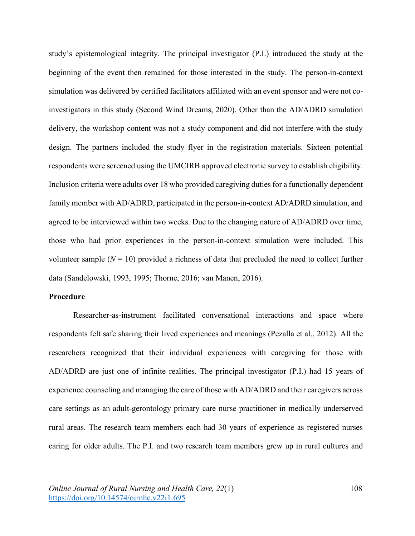study's epistemological integrity. The principal investigator (P.I.) introduced the study at the beginning of the event then remained for those interested in the study. The person-in-context simulation was delivered by certified facilitators affiliated with an event sponsor and were not coinvestigators in this study (Second Wind Dreams, 2020). Other than the AD/ADRD simulation delivery, the workshop content was not a study component and did not interfere with the study design. The partners included the study flyer in the registration materials. Sixteen potential respondents were screened using the UMCIRB approved electronic survey to establish eligibility. Inclusion criteria were adults over 18 who provided caregiving duties for a functionally dependent family member with AD/ADRD, participated in the person-in-context AD/ADRD simulation, and agreed to be interviewed within two weeks. Due to the changing nature of AD/ADRD over time, those who had prior experiences in the person-in-context simulation were included. This volunteer sample  $(N = 10)$  provided a richness of data that precluded the need to collect further data (Sandelowski, 1993, 1995; Thorne, 2016; van Manen, 2016).

## **Procedure**

Researcher-as-instrument facilitated conversational interactions and space where respondents felt safe sharing their lived experiences and meanings (Pezalla et al., 2012). All the researchers recognized that their individual experiences with caregiving for those with AD/ADRD are just one of infinite realities. The principal investigator (P.I.) had 15 years of experience counseling and managing the care of those with AD/ADRD and their caregivers across care settings as an adult-gerontology primary care nurse practitioner in medically underserved rural areas. The research team members each had 30 years of experience as registered nurses caring for older adults. The P.I. and two research team members grew up in rural cultures and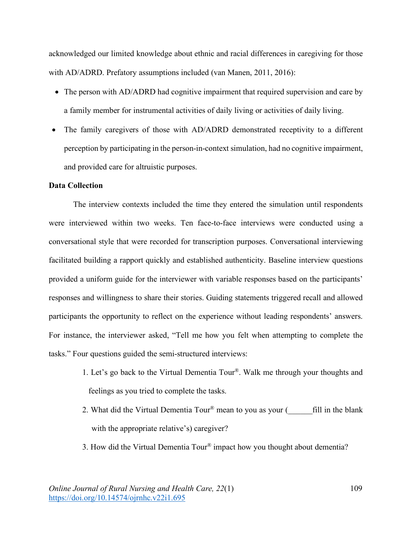acknowledged our limited knowledge about ethnic and racial differences in caregiving for those with AD/ADRD. Prefatory assumptions included (van Manen, 2011, 2016):

- The person with AD/ADRD had cognitive impairment that required supervision and care by a family member for instrumental activities of daily living or activities of daily living.
- The family caregivers of those with AD/ADRD demonstrated receptivity to a different perception by participating in the person-in-context simulation, had no cognitive impairment, and provided care for altruistic purposes.

## **Data Collection**

The interview contexts included the time they entered the simulation until respondents were interviewed within two weeks. Ten face-to-face interviews were conducted using a conversational style that were recorded for transcription purposes. Conversational interviewing facilitated building a rapport quickly and established authenticity. Baseline interview questions provided a uniform guide for the interviewer with variable responses based on the participants' responses and willingness to share their stories. Guiding statements triggered recall and allowed participants the opportunity to reflect on the experience without leading respondents' answers. For instance, the interviewer asked, "Tell me how you felt when attempting to complete the tasks." Four questions guided the semi-structured interviews:

- 1. Let's go back to the Virtual Dementia Tour®. Walk me through your thoughts and feelings as you tried to complete the tasks.
- 2. What did the Virtual Dementia Tour<sup>®</sup> mean to you as your ( $\qquad$  fill in the blank with the appropriate relative's) caregiver?
- 3. How did the Virtual Dementia Tour® impact how you thought about dementia?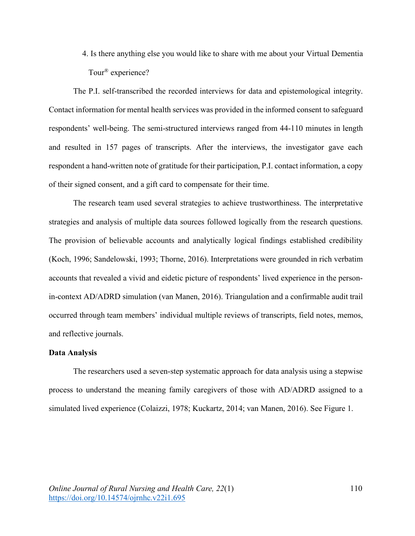4. Is there anything else you would like to share with me about your Virtual Dementia Tour® experience?

The P.I. self-transcribed the recorded interviews for data and epistemological integrity. Contact information for mental health services was provided in the informed consent to safeguard respondents' well-being. The semi-structured interviews ranged from 44-110 minutes in length and resulted in 157 pages of transcripts. After the interviews, the investigator gave each respondent a hand-written note of gratitude for their participation, P.I. contact information, a copy of their signed consent, and a gift card to compensate for their time.

The research team used several strategies to achieve trustworthiness. The interpretative strategies and analysis of multiple data sources followed logically from the research questions. The provision of believable accounts and analytically logical findings established credibility (Koch, 1996; Sandelowski, 1993; Thorne, 2016). Interpretations were grounded in rich verbatim accounts that revealed a vivid and eidetic picture of respondents' lived experience in the personin-context AD/ADRD simulation (van Manen, 2016). Triangulation and a confirmable audit trail occurred through team members' individual multiple reviews of transcripts, field notes, memos, and reflective journals.

#### **Data Analysis**

The researchers used a seven-step systematic approach for data analysis using a stepwise process to understand the meaning family caregivers of those with AD/ADRD assigned to a simulated lived experience (Colaizzi, 1978; Kuckartz, 2014; van Manen, 2016). See Figure 1.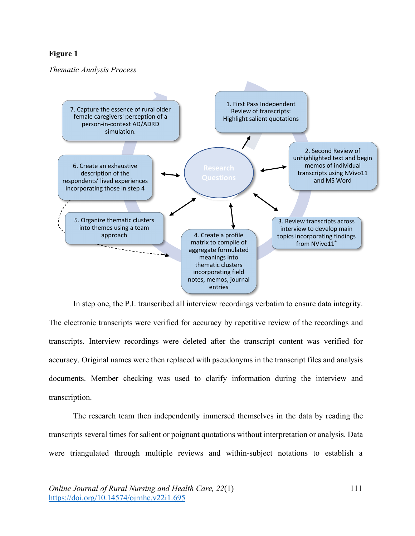# **Figure 1**

*Thematic Analysis Process*



In step one, the P.I. transcribed all interview recordings verbatim to ensure data integrity. The electronic transcripts were verified for accuracy by repetitive review of the recordings and transcripts. Interview recordings were deleted after the transcript content was verified for accuracy. Original names were then replaced with pseudonyms in the transcript files and analysis documents. Member checking was used to clarify information during the interview and transcription.

The research team then independently immersed themselves in the data by reading the transcripts several times for salient or poignant quotations without interpretation or analysis. Data were triangulated through multiple reviews and within-subject notations to establish a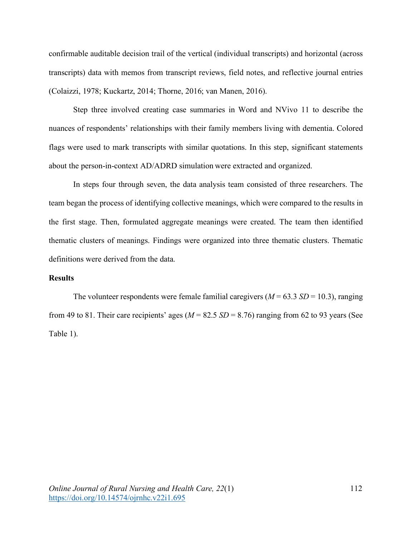confirmable auditable decision trail of the vertical (individual transcripts) and horizontal (across transcripts) data with memos from transcript reviews, field notes, and reflective journal entries (Colaizzi, 1978; Kuckartz, 2014; Thorne, 2016; van Manen, 2016).

Step three involved creating case summaries in Word and NVivo 11 to describe the nuances of respondents' relationships with their family members living with dementia. Colored flags were used to mark transcripts with similar quotations. In this step, significant statements about the person-in-context AD/ADRD simulation were extracted and organized.

In steps four through seven, the data analysis team consisted of three researchers. The team began the process of identifying collective meanings, which were compared to the results in the first stage. Then, formulated aggregate meanings were created. The team then identified thematic clusters of meanings. Findings were organized into three thematic clusters. Thematic definitions were derived from the data.

## **Results**

The volunteer respondents were female familial caregivers  $(M = 63.3 S/D = 10.3)$ , ranging from 49 to 81. Their care recipients' ages ( $M = 82.5 SD = 8.76$ ) ranging from 62 to 93 years (See Table 1).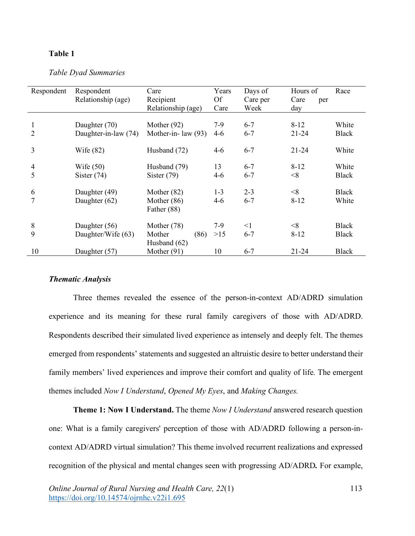## **Table 1**

*Table Dyad Summaries*

| Respondent     | Respondent           | Care                  | Years     | Days of  | Hours of    | Race         |
|----------------|----------------------|-----------------------|-----------|----------|-------------|--------------|
|                | Relationship (age)   | Recipient             | <b>Of</b> | Care per | Care<br>per |              |
|                |                      | Relationship (age)    | Care      | Week     | day         |              |
|                |                      |                       |           |          |             |              |
| 1              | Daughter (70)        | Mother $(92)$         | $7-9$     | $6 - 7$  | $8 - 12$    | White        |
| $\overline{2}$ | Daughter-in-law (74) | Mother-in- law $(93)$ | $4-6$     | $6 - 7$  | $21 - 24$   | <b>Black</b> |
|                |                      |                       |           |          |             |              |
| 3              | Wife $(82)$          | Husband (72)          | $4 - 6$   | $6 - 7$  | $21 - 24$   | White        |
|                |                      |                       |           |          |             |              |
| $\overline{4}$ | Wife $(50)$          | Husband (79)          | 13        | $6 - 7$  | $8-12$      | White        |
| 5              | Sister $(74)$        | Sister $(79)$         | $4 - 6$   | $6 - 7$  | < 8         | <b>Black</b> |
|                |                      |                       |           |          |             |              |
| 6              | Daughter (49)        | Mother $(82)$         | $1 - 3$   | $2 - 3$  | < 8         | <b>Black</b> |
| 7              | Daughter (62)        | Mother $(86)$         | 4-6       | $6 - 7$  | $8 - 12$    | White        |
|                |                      | Father (88)           |           |          |             |              |
|                |                      |                       |           |          |             |              |
| $8\,$          | Daughter (56)        | Mother (78)           | 7-9       | $\leq$ 1 | $<\!\!8$    | <b>Black</b> |
| 9              | Daughter/Wife (63)   | Mother<br>(86)        | $>15$     | $6 - 7$  | $8 - 12$    | <b>Black</b> |
|                |                      | Husband $(62)$        |           |          |             |              |
| 10             | Daughter (57)        | Mother $(91)$         | 10        | $6 - 7$  | $21 - 24$   | <b>Black</b> |

#### *Thematic Analysis*

Three themes revealed the essence of the person-in-context AD/ADRD simulation experience and its meaning for these rural family caregivers of those with AD/ADRD. Respondents described their simulated lived experience as intensely and deeply felt. The themes emerged from respondents' statements and suggested an altruistic desire to better understand their family members' lived experiences and improve their comfort and quality of life. The emergent themes included *Now I Understand*, *Opened My Eyes*, and *Making Changes.*

**Theme 1: Now I Understand.** The theme *Now I Understand* answered research question one: What is a family caregivers' perception of those with AD/ADRD following a person-incontext AD/ADRD virtual simulation? This theme involved recurrent realizations and expressed recognition of the physical and mental changes seen with progressing AD/ADRD*.* For example,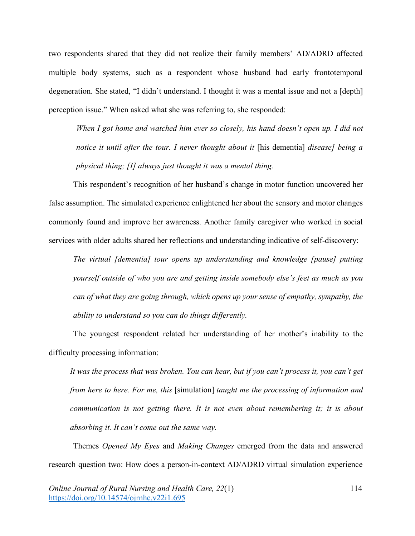two respondents shared that they did not realize their family members' AD/ADRD affected multiple body systems, such as a respondent whose husband had early frontotemporal degeneration. She stated, "I didn't understand. I thought it was a mental issue and not a [depth] perception issue." When asked what she was referring to, she responded:

*When I got home and watched him ever so closely, his hand doesn't open up. I did not notice it until after the tour. I never thought about it* [his dementia] *disease] being a physical thing; [I] always just thought it was a mental thing.* 

This respondent's recognition of her husband's change in motor function uncovered her false assumption. The simulated experience enlightened her about the sensory and motor changes commonly found and improve her awareness. Another family caregiver who worked in social services with older adults shared her reflections and understanding indicative of self-discovery:

*The virtual [dementia] tour opens up understanding and knowledge [pause] putting yourself outside of who you are and getting inside somebody else's feet as much as you can of what they are going through, which opens up your sense of empathy, sympathy, the ability to understand so you can do things differently.*

The youngest respondent related her understanding of her mother's inability to the difficulty processing information:

*It was the process that was broken. You can hear, but if you can't process it, you can't get from here to here. For me, this* [simulation] *taught me the processing of information and communication is not getting there. It is not even about remembering it; it is about absorbing it. It can't come out the same way.* 

Themes *Opened My Eyes* and *Making Changes* emerged from the data and answered research question two: How does a person-in-context AD/ADRD virtual simulation experience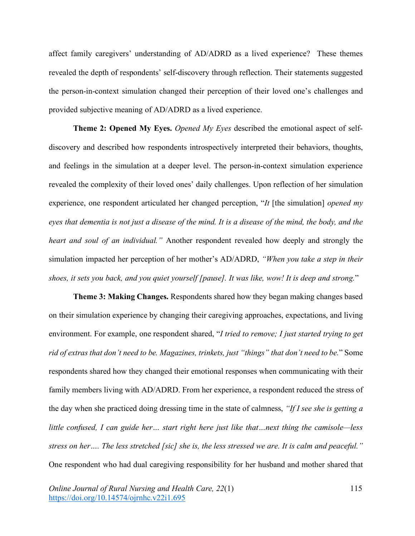affect family caregivers' understanding of AD/ADRD as a lived experience? These themes revealed the depth of respondents' self-discovery through reflection. Their statements suggested the person-in-context simulation changed their perception of their loved one's challenges and provided subjective meaning of AD/ADRD as a lived experience.

**Theme 2: Opened My Eyes.** *Opened My Eyes* described the emotional aspect of selfdiscovery and described how respondents introspectively interpreted their behaviors, thoughts, and feelings in the simulation at a deeper level. The person-in-context simulation experience revealed the complexity of their loved ones' daily challenges. Upon reflection of her simulation experience, one respondent articulated her changed perception, "*It* [the simulation] *opened my eyes that dementia is not just a disease of the mind. It is a disease of the mind, the body, and the heart and soul of an individual."* Another respondent revealed how deeply and strongly the simulation impacted her perception of her mother's AD/ADRD, *"When you take a step in their shoes, it sets you back, and you quiet yourself [pause]. It was like, wow! It is deep and strong.*"

**Theme 3: Making Changes.** Respondents shared how they began making changes based on their simulation experience by changing their caregiving approaches, expectations, and living environment. For example, one respondent shared, "*I tried to remove; I just started trying to get rid of extras that don't need to be. Magazines, trinkets, just "things" that don't need to be.*" Some respondents shared how they changed their emotional responses when communicating with their family members living with AD/ADRD. From her experience, a respondent reduced the stress of the day when she practiced doing dressing time in the state of calmness, *"If I see she is getting a little confused, I can guide her… start right here just like that…next thing the camisole—less stress on her…. The less stretched [sic] she is, the less stressed we are. It is calm and peaceful."* One respondent who had dual caregiving responsibility for her husband and mother shared that

*Online Journal of Rural Nursing and Health Care, 22*(1) https://doi.org/10.14574/ojrnhc.v22i1.695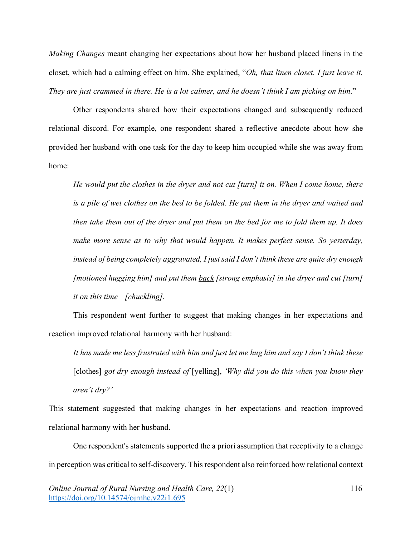*Making Changes* meant changing her expectations about how her husband placed linens in the closet, which had a calming effect on him. She explained, "*Oh, that linen closet. I just leave it. They are just crammed in there. He is a lot calmer, and he doesn't think I am picking on him*."

Other respondents shared how their expectations changed and subsequently reduced relational discord. For example, one respondent shared a reflective anecdote about how she provided her husband with one task for the day to keep him occupied while she was away from home:

*He would put the clothes in the dryer and not cut [turn] it on. When I come home, there is a pile of wet clothes on the bed to be folded. He put them in the dryer and waited and then take them out of the dryer and put them on the bed for me to fold them up. It does make more sense as to why that would happen. It makes perfect sense. So yesterday, instead of being completely aggravated, I just said I don't think these are quite dry enough [motioned hugging him] and put them back [strong emphasis] in the dryer and cut [turn] it on this time—[chuckling].* 

This respondent went further to suggest that making changes in her expectations and reaction improved relational harmony with her husband:

*It has made me less frustrated with him and just let me hug him and say I don't think these*  [clothes] *got dry enough instead of* [yelling], *'Why did you do this when you know they aren't dry?'*

This statement suggested that making changes in her expectations and reaction improved relational harmony with her husband.

One respondent's statements supported the a priori assumption that receptivity to a change in perception was critical to self-discovery. This respondent also reinforced how relational context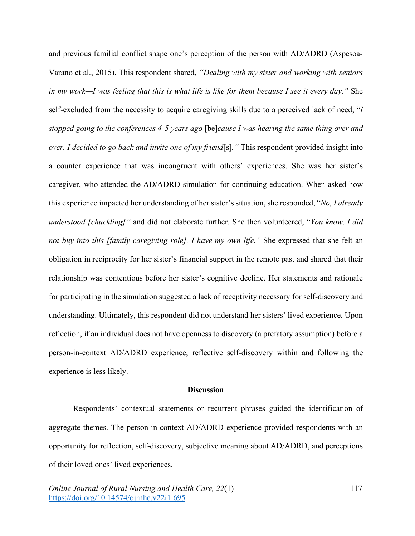and previous familial conflict shape one's perception of the person with AD/ADRD (Aspesoa-Varano et al., 2015). This respondent shared, *"Dealing with my sister and working with seniors in my work—I was feeling that this is what life is like for them because I see it every day."* She self-excluded from the necessity to acquire caregiving skills due to a perceived lack of need, "*I stopped going to the conferences 4-5 years ago* [be]*cause I was hearing the same thing over and over. I decided to go back and invite one of my friend*[s]*."* This respondent provided insight into a counter experience that was incongruent with others' experiences. She was her sister's caregiver, who attended the AD/ADRD simulation for continuing education. When asked how this experience impacted her understanding of her sister's situation, she responded, "*No, I already understood [chuckling]"* and did not elaborate further. She then volunteered, "*You know, I did not buy into this [family caregiving role], I have my own life."* She expressed that she felt an obligation in reciprocity for her sister's financial support in the remote past and shared that their relationship was contentious before her sister's cognitive decline. Her statements and rationale for participating in the simulation suggested a lack of receptivity necessary for self-discovery and understanding. Ultimately, this respondent did not understand her sisters' lived experience. Upon reflection, if an individual does not have openness to discovery (a prefatory assumption) before a person-in-context AD/ADRD experience, reflective self-discovery within and following the experience is less likely.

#### **Discussion**

Respondents' contextual statements or recurrent phrases guided the identification of aggregate themes. The person-in-context AD/ADRD experience provided respondents with an opportunity for reflection, self-discovery, subjective meaning about AD/ADRD, and perceptions of their loved ones' lived experiences.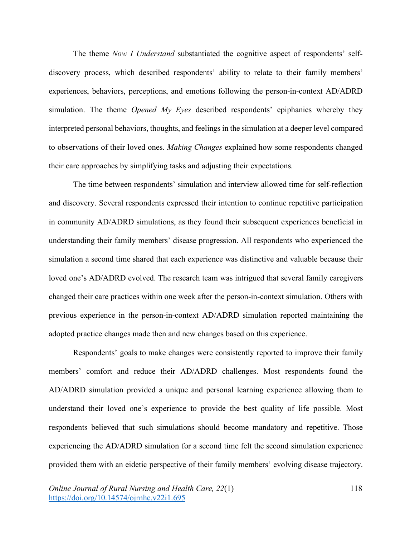The theme *Now I Understand* substantiated the cognitive aspect of respondents' selfdiscovery process, which described respondents' ability to relate to their family members' experiences, behaviors, perceptions, and emotions following the person-in-context AD/ADRD simulation. The theme *Opened My Eyes* described respondents' epiphanies whereby they interpreted personal behaviors, thoughts, and feelings in the simulation at a deeper level compared to observations of their loved ones. *Making Changes* explained how some respondents changed their care approaches by simplifying tasks and adjusting their expectations.

The time between respondents' simulation and interview allowed time for self-reflection and discovery. Several respondents expressed their intention to continue repetitive participation in community AD/ADRD simulations, as they found their subsequent experiences beneficial in understanding their family members' disease progression. All respondents who experienced the simulation a second time shared that each experience was distinctive and valuable because their loved one's AD/ADRD evolved. The research team was intrigued that several family caregivers changed their care practices within one week after the person-in-context simulation. Others with previous experience in the person-in-context AD/ADRD simulation reported maintaining the adopted practice changes made then and new changes based on this experience.

Respondents' goals to make changes were consistently reported to improve their family members' comfort and reduce their AD/ADRD challenges. Most respondents found the AD/ADRD simulation provided a unique and personal learning experience allowing them to understand their loved one's experience to provide the best quality of life possible. Most respondents believed that such simulations should become mandatory and repetitive. Those experiencing the AD/ADRD simulation for a second time felt the second simulation experience provided them with an eidetic perspective of their family members' evolving disease trajectory.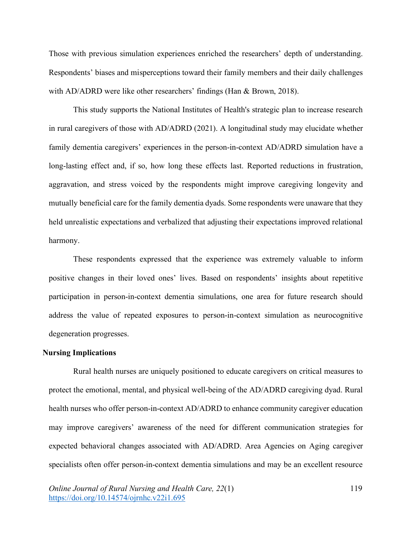Those with previous simulation experiences enriched the researchers' depth of understanding. Respondents' biases and misperceptions toward their family members and their daily challenges with AD/ADRD were like other researchers' findings (Han & Brown, 2018).

This study supports the National Institutes of Health's strategic plan to increase research in rural caregivers of those with AD/ADRD (2021). A longitudinal study may elucidate whether family dementia caregivers' experiences in the person-in-context AD/ADRD simulation have a long-lasting effect and, if so, how long these effects last. Reported reductions in frustration, aggravation, and stress voiced by the respondents might improve caregiving longevity and mutually beneficial care for the family dementia dyads. Some respondents were unaware that they held unrealistic expectations and verbalized that adjusting their expectations improved relational harmony.

These respondents expressed that the experience was extremely valuable to inform positive changes in their loved ones' lives. Based on respondents' insights about repetitive participation in person-in-context dementia simulations, one area for future research should address the value of repeated exposures to person-in-context simulation as neurocognitive degeneration progresses.

## **Nursing Implications**

Rural health nurses are uniquely positioned to educate caregivers on critical measures to protect the emotional, mental, and physical well-being of the AD/ADRD caregiving dyad. Rural health nurses who offer person-in-context AD/ADRD to enhance community caregiver education may improve caregivers' awareness of the need for different communication strategies for expected behavioral changes associated with AD/ADRD. Area Agencies on Aging caregiver specialists often offer person-in-context dementia simulations and may be an excellent resource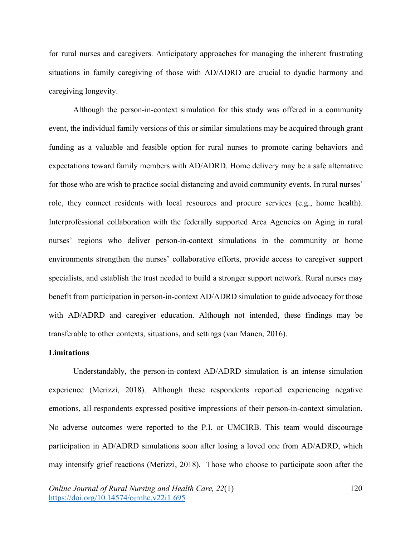for rural nurses and caregivers. Anticipatory approaches for managing the inherent frustrating situations in family caregiving of those with AD/ADRD are crucial to dyadic harmony and caregiving longevity.

Although the person-in-context simulation for this study was offered in a community event, the individual family versions of this or similar simulations may be acquired through grant funding as a valuable and feasible option for rural nurses to promote caring behaviors and expectations toward family members with AD/ADRD. Home delivery may be a safe alternative for those who are wish to practice social distancing and avoid community events. In rural nurses' role, they connect residents with local resources and procure services (e.g., home health). Interprofessional collaboration with the federally supported Area Agencies on Aging in rural nurses' regions who deliver person-in-context simulations in the community or home environments strengthen the nurses' collaborative efforts, provide access to caregiver support specialists, and establish the trust needed to build a stronger support network. Rural nurses may benefit from participation in person-in-context AD/ADRD simulation to guide advocacy for those with AD/ADRD and caregiver education. Although not intended, these findings may be transferable to other contexts, situations, and settings (van Manen, 2016).

#### **Limitations**

Understandably, the person-in-context AD/ADRD simulation is an intense simulation experience (Merizzi, 2018). Although these respondents reported experiencing negative emotions, all respondents expressed positive impressions of their person-in-context simulation. No adverse outcomes were reported to the P.I. or UMCIRB. This team would discourage participation in AD/ADRD simulations soon after losing a loved one from AD/ADRD, which may intensify grief reactions (Merizzi, 2018). Those who choose to participate soon after the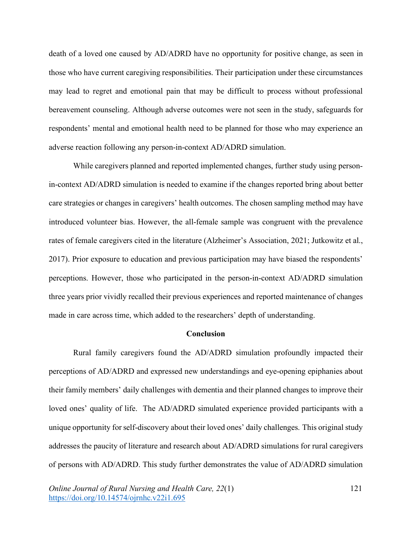death of a loved one caused by AD/ADRD have no opportunity for positive change, as seen in those who have current caregiving responsibilities. Their participation under these circumstances may lead to regret and emotional pain that may be difficult to process without professional bereavement counseling. Although adverse outcomes were not seen in the study, safeguards for respondents' mental and emotional health need to be planned for those who may experience an adverse reaction following any person-in-context AD/ADRD simulation.

While caregivers planned and reported implemented changes, further study using personin-context AD/ADRD simulation is needed to examine if the changes reported bring about better care strategies or changes in caregivers' health outcomes. The chosen sampling method may have introduced volunteer bias. However, the all-female sample was congruent with the prevalence rates of female caregivers cited in the literature (Alzheimer's Association, 2021; Jutkowitz et al., 2017). Prior exposure to education and previous participation may have biased the respondents' perceptions. However, those who participated in the person-in-context AD/ADRD simulation three years prior vividly recalled their previous experiences and reported maintenance of changes made in care across time, which added to the researchers' depth of understanding.

## **Conclusion**

Rural family caregivers found the AD/ADRD simulation profoundly impacted their perceptions of AD/ADRD and expressed new understandings and eye-opening epiphanies about their family members' daily challenges with dementia and their planned changes to improve their loved ones' quality of life. The AD/ADRD simulated experience provided participants with a unique opportunity for self-discovery about their loved ones' daily challenges. This original study addresses the paucity of literature and research about AD/ADRD simulations for rural caregivers of persons with AD/ADRD. This study further demonstrates the value of AD/ADRD simulation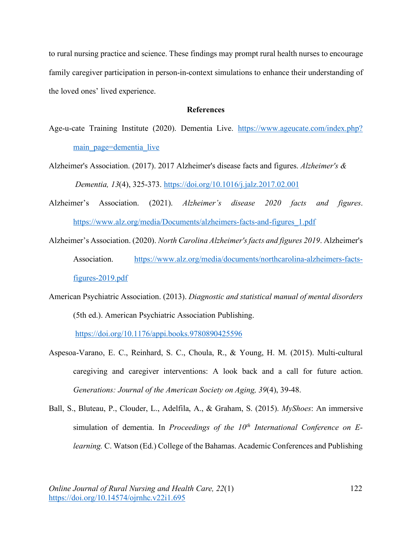to rural nursing practice and science. These findings may prompt rural health nurses to encourage family caregiver participation in person-in-context simulations to enhance their understanding of the loved ones' lived experience.

## **References**

Age-u-cate Training Institute (2020). Dementia Live. https://www.ageucate.com/index.php? main page=dementia live

Alzheimer's Association. (2017). 2017 Alzheimer's disease facts and figures. *Alzheimer's & Dementia, 13*(4), 325-373. https://doi.org/10.1016/j.jalz.2017.02.001

- Alzheimer's Association. (2021). *Alzheimer's disease 2020 facts and figures*. https://www.alz.org/media/Documents/alzheimers-facts-and-figures\_1.pdf
- Alzheimer's Association. (2020). *North Carolina Alzheimer's facts and figures 2019*. Alzheimer's Association. https://www.alz.org/media/documents/northcarolina-alzheimers-factsfigures-2019.pdf
- American Psychiatric Association. (2013). *Diagnostic and statistical manual of mental disorders* (5th ed.). American Psychiatric Association Publishing.

https://doi.org/10.1176/appi.books.9780890425596

- Aspesoa-Varano, E. C., Reinhard, S. C., Choula, R., & Young, H. M. (2015). Multi-cultural caregiving and caregiver interventions: A look back and a call for future action. *Generations: Journal of the American Society on Aging, 39*(4), 39-48.
- Ball, S., Bluteau, P., Clouder, L., Adelfila, A., & Graham, S. (2015). *MyShoes*: An immersive simulation of dementia. In *Proceedings of the 10<sup>th</sup> International Conference on Elearning.* C. Watson (Ed.) College of the Bahamas. Academic Conferences and Publishing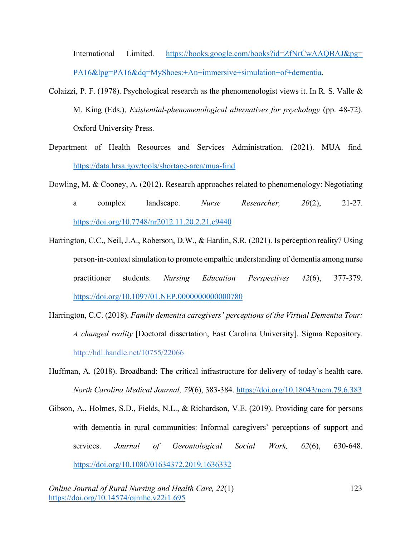International Limited. https://books.google.com/books?id=ZfNrCwAAQBAJ&pg= PA16&lpg=PA16&dq=MyShoes:+An+immersive+simulation+of+dementia.

- Colaizzi, P. F. (1978). Psychological research as the phenomenologist views it. In R. S. Valle  $\&$ M. King (Eds.), *Existential-phenomenological alternatives for psychology* (pp. 48-72). Oxford University Press.
- Department of Health Resources and Services Administration. (2021). MUA find. https://data.hrsa.gov/tools/shortage-area/mua-find
- Dowling, M. & Cooney, A. (2012). Research approaches related to phenomenology: Negotiating a complex landscape. *Nurse Researcher, 20*(2), 21-27. https://doi.org/10.7748/nr2012.11.20.2.21.c9440
- Harrington, C.C., Neil, J.A., Roberson, D.W., & Hardin, S.R. (2021). Is perception reality? Using person-in-context simulation to promote empathic understanding of dementia among nurse practitioner students. *Nursing Education Perspectives 42*(6), 377-379*.*  https://doi.org/10.1097/01.NEP.0000000000000780
- Harrington, C.C. (2018). *Family dementia caregivers' perceptions of the Virtual Dementia Tour: A changed reality* [Doctoral dissertation, East Carolina University]. Sigma Repository. http://hdl.handle.net/10755/22066
- Huffman, A. (2018). Broadband: The critical infrastructure for delivery of today's health care. *North Carolina Medical Journal, 79*(6), 383-384. https://doi.org/10.18043/ncm.79.6.383
- Gibson, A., Holmes, S.D., Fields, N.L., & Richardson, V.E. (2019). Providing care for persons with dementia in rural communities: Informal caregivers' perceptions of support and services. *Journal of Gerontological Social Work, 62*(6), 630-648. https://doi.org/10.1080/01634372.2019.1636332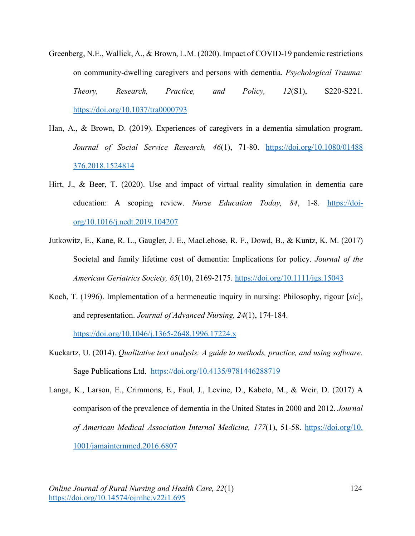- Greenberg, N.E., Wallick, A., & Brown, L.M. (2020). Impact of COVID-19 pandemic restrictions on community-dwelling caregivers and persons with dementia. *Psychological Trauma: Theory, Research, Practice, and Policy, 12*(S1), S220-S221. https://doi.org/10.1037/tra0000793
- Han, A., & Brown, D. (2019). Experiences of caregivers in a dementia simulation program. *Journal of Social Service Research, 46*(1), 71-80. https://doi.org/10.1080/01488 376.2018.1524814
- Hirt, J., & Beer, T. (2020). Use and impact of virtual reality simulation in dementia care education: A scoping review. *Nurse Education Today, 84*, 1-8. https://doiorg/10.1016/j.nedt.2019.104207
- Jutkowitz, E., Kane, R. L., Gaugler, J. E., MacLehose, R. F., Dowd, B., & Kuntz, K. M. (2017) Societal and family lifetime cost of dementia: Implications for policy. *Journal of the American Geriatrics Society, 65*(10), 2169-2175. https://doi.org/10.1111/jgs.15043
- Koch, T. (1996). Implementation of a hermeneutic inquiry in nursing: Philosophy, rigour [*sic*], and representation. *Journal of Advanced Nursing, 24*(1), 174-184.

https://doi.org/10.1046/j.1365-2648.1996.17224.x

- Kuckartz, U. (2014). *Qualitative text analysis: A guide to methods, practice, and using software.*  Sage Publications Ltd. https://doi.org/10.4135/9781446288719
- Langa, K., Larson, E., Crimmons, E., Faul, J., Levine, D., Kabeto, M., & Weir, D. (2017) A comparison of the prevalence of dementia in the United States in 2000 and 2012. *Journal of American Medical Association Internal Medicine, 177*(1), 51-58. https://doi.org/10. 1001/jamainternmed.2016.6807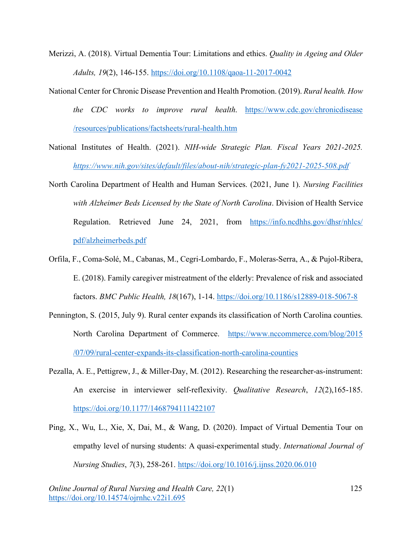Merizzi, A. (2018). Virtual Dementia Tour: Limitations and ethics. *Quality in Ageing and Older Adults, 19*(2), 146-155. https://doi.org/10.1108/qaoa-11-2017-0042

- National Center for Chronic Disease Prevention and Health Promotion. (2019). *Rural health. How the CDC works to improve rural health*. https://www.cdc.gov/chronicdisease /resources/publications/factsheets/rural-health.htm
- National Institutes of Health. (2021). *NIH-wide Strategic Plan. Fiscal Years 2021-2025. https://www.nih.gov/sites/default/files/about-nih/strategic-plan-fy2021-2025-508.pdf*
- North Carolina Department of Health and Human Services. (2021, June 1). *Nursing Facilities with Alzheimer Beds Licensed by the State of North Carolina*. Division of Health Service Regulation. Retrieved June 24, 2021, from https://info.ncdhhs.gov/dhsr/nhlcs/ pdf/alzheimerbeds.pdf
- Orfila, F., Coma-Solé, M., Cabanas, M., Cegri-Lombardo, F., Moleras-Serra, A., & Pujol-Ribera, E. (2018). Family caregiver mistreatment of the elderly: Prevalence of risk and associated factors. *BMC Public Health, 18*(167), 1-14. https://doi.org/10.1186/s12889-018-5067-8
- Pennington, S. (2015, July 9). Rural center expands its classification of North Carolina counties. North Carolina Department of Commerce. https://www.nccommerce.com/blog/2015 /07/09/rural-center-expands-its-classification-north-carolina-counties
- Pezalla, A. E., Pettigrew, J., & Miller-Day, M. (2012). Researching the researcher-as-instrument: An exercise in interviewer self-reflexivity. *Qualitative Research*, *12*(2),165-185. https://doi.org/10.1177/1468794111422107
- Ping, X., Wu, L., Xie, X, Dai, M., & Wang, D. (2020). Impact of Virtual Dementia Tour on empathy level of nursing students: A quasi-experimental study. *International Journal of Nursing Studies*, *7*(3), 258-261. https://doi.org/10.1016/j.ijnss.2020.06.010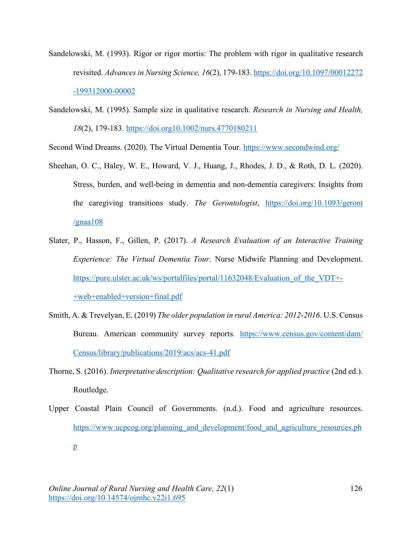- Sandelowski, M. (1993). Rigor or rigor mortis: The problem with rigor in qualitative research revisited. *Advancesin Nursing Science, 16*(2), 179-183. https://doi.org/10.1097/00012272 -199312000-00002
- Sandelowski, M. (1995). Sample size in qualitative research. *Research in Nursing and Health, 18*(2), 179-183. https://doi.org10.1002/nurs.4770180211

Second Wind Dreams. (2020). The Virtual Dementia Tour. https://www.secondwind.org/

- Sheehan, O. C., Haley, W. E., Howard, V. J., Huang, J., Rhodes, J. D., & Roth, D. L. (2020). Stress, burden, and well-being in dementia and non-dementia caregivers: Insights from the caregiving transitions study. *The Gerontologist*, https://doi.org/10.1093/geront  $\gamma$ gnaa $108$
- Slater, P., Hasson, F., Gillen, P. (2017). *A Research Evaluation of an Interactive Training Experience: The Virtual Dementia Tour*. Nurse Midwife Planning and Development. https://pure.ulster.ac.uk/ws/portalfiles/portal/11632048/Evaluation\_of\_the\_VDT+- +web+enabled+version+final.pdf
- Smith, A. & Trevelyan, E. (2019) *The older population in rural America: 2012-2016*. U.S. Census Bureau. American community survey reports. https://www.census.gov/content/dam/ Census/library/publications/2019/acs/acs-41.pdf
- Thorne, S. (2016). *Interpretative description: Qualitative research for applied practice* (2nd ed.). Routledge.
- Upper Coastal Plain Council of Governments. (n.d.). Food and agriculture resources. https://www.ucpcog.org/planning\_and\_development/food\_and\_agriculture\_resources.ph p